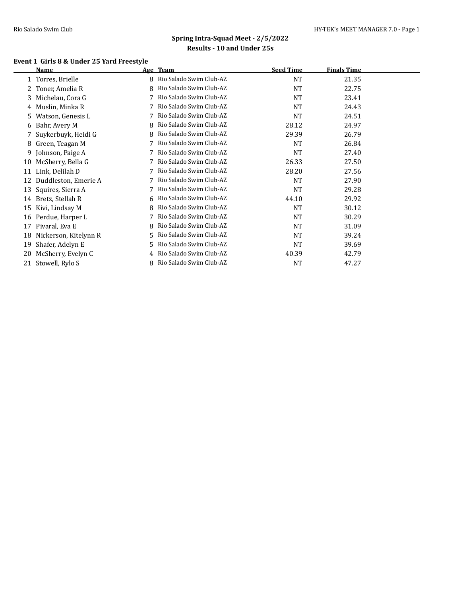### **Event 1 Girls 8 & Under 25 Yard Freestyle**

|    | <b>Name</b>           | Age | <b>Team</b>             | <b>Seed Time</b> | <b>Finals Time</b> |
|----|-----------------------|-----|-------------------------|------------------|--------------------|
|    | 1 Torres, Brielle     | 8   | Rio Salado Swim Club-AZ | <b>NT</b>        | 21.35              |
|    | Toner, Amelia R       | 8   | Rio Salado Swim Club-AZ | NT               | 22.75              |
| 3  | Michelau, Cora G      |     | Rio Salado Swim Club-AZ | <b>NT</b>        | 23.41              |
| 4  | Muslin, Minka R       |     | Rio Salado Swim Club-AZ | <b>NT</b>        | 24.43              |
| 5  | Watson, Genesis L     |     | Rio Salado Swim Club-AZ | <b>NT</b>        | 24.51              |
| 6  | Bahr, Avery M         |     | Rio Salado Swim Club-AZ | 28.12            | 24.97              |
|    | Suykerbuyk, Heidi G   | 8   | Rio Salado Swim Club-AZ | 29.39            | 26.79              |
| 8  | Green, Teagan M       |     | Rio Salado Swim Club-AZ | <b>NT</b>        | 26.84              |
|    | 9 Johnson, Paige A    |     | Rio Salado Swim Club-AZ | NT               | 27.40              |
| 10 | McSherry, Bella G     |     | Rio Salado Swim Club-AZ | 26.33            | 27.50              |
| 11 | Link, Delilah D       |     | Rio Salado Swim Club-AZ | 28.20            | 27.56              |
| 12 | Duddleston, Emerie A  |     | Rio Salado Swim Club-AZ | <b>NT</b>        | 27.90              |
| 13 | Squires, Sierra A     |     | Rio Salado Swim Club-AZ | <b>NT</b>        | 29.28              |
| 14 | Bretz, Stellah R      | 6.  | Rio Salado Swim Club-AZ | 44.10            | 29.92              |
| 15 | Kivi, Lindsay M       | 8   | Rio Salado Swim Club-AZ | <b>NT</b>        | 30.12              |
| 16 | Perdue, Harper L      |     | Rio Salado Swim Club-AZ | <b>NT</b>        | 30.29              |
| 17 | Pivaral, Eva E        | 8   | Rio Salado Swim Club-AZ | NT               | 31.09              |
| 18 | Nickerson, Kitelynn R |     | Rio Salado Swim Club-AZ | <b>NT</b>        | 39.24              |
| 19 | Shafer, Adelyn E      | 5.  | Rio Salado Swim Club-AZ | <b>NT</b>        | 39.69              |
| 20 | McSherry, Evelyn C    | 4   | Rio Salado Swim Club-AZ | 40.39            | 42.79              |
| 21 | Stowell, Rylo S       |     | Rio Salado Swim Club-AZ | NT               | 47.27              |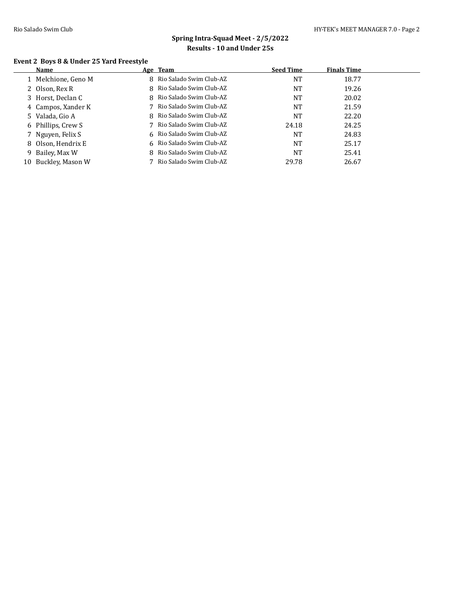### **Event 2 Boys 8 & Under 25 Yard Freestyle**

|    | Name                | Age Team                  | <b>Seed Time</b> | <b>Finals Time</b> |  |
|----|---------------------|---------------------------|------------------|--------------------|--|
|    | 1 Melchione, Geno M | 8 Rio Salado Swim Club-AZ | NT               | 18.77              |  |
|    | 2 Olson, Rex R      | 8 Rio Salado Swim Club-AZ | NT               | 19.26              |  |
|    | 3 Horst, Declan C   | 8 Rio Salado Swim Club-AZ | <b>NT</b>        | 20.02              |  |
|    | 4 Campos, Xander K  | 7 Rio Salado Swim Club-AZ | <b>NT</b>        | 21.59              |  |
|    | 5 Valada, Gio A     | 8 Rio Salado Swim Club-AZ | NT               | 22.20              |  |
|    | 6 Phillips, Crew S  | 7 Rio Salado Swim Club-AZ | 24.18            | 24.25              |  |
|    | 7 Nguyen, Felix S   | 6 Rio Salado Swim Club-AZ | <b>NT</b>        | 24.83              |  |
|    | 8 Olson, Hendrix E  | 6 Rio Salado Swim Club-AZ | NT               | 25.17              |  |
|    | 9 Bailey, Max W     | 8 Rio Salado Swim Club-AZ | NT               | 25.41              |  |
| 10 | Buckley, Mason W    | Rio Salado Swim Club-AZ   | 29.78            | 26.67              |  |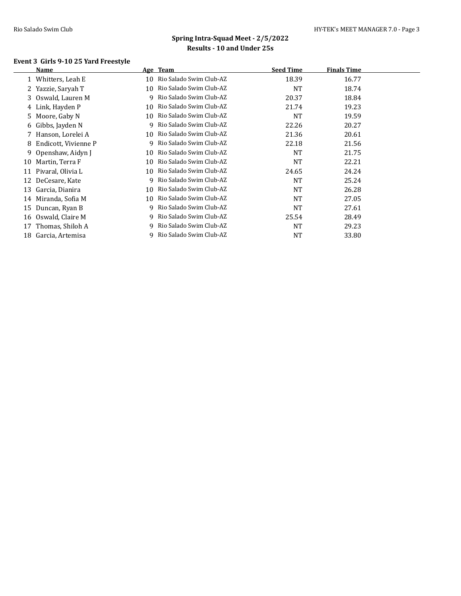### **Event 3 Girls 9-10 25 Yard Freestyle**

|    | Name                 |    | Age Team                | <b>Seed Time</b> | <b>Finals Time</b> |  |
|----|----------------------|----|-------------------------|------------------|--------------------|--|
|    | Whitters, Leah E     | 10 | Rio Salado Swim Club-AZ | 18.39            | 16.77              |  |
|    | 2 Yazzie, Saryah T   | 10 | Rio Salado Swim Club-AZ | NT               | 18.74              |  |
|    | 3 Oswald, Lauren M   | 9  | Rio Salado Swim Club-AZ | 20.37            | 18.84              |  |
| 4  | Link, Hayden P       | 10 | Rio Salado Swim Club-AZ | 21.74            | 19.23              |  |
|    | 5 Moore, Gaby N      | 10 | Rio Salado Swim Club-AZ | <b>NT</b>        | 19.59              |  |
|    | 6 Gibbs, Jayden N    | 9  | Rio Salado Swim Club-AZ | 22.26            | 20.27              |  |
|    | 7 Hanson, Lorelei A  | 10 | Rio Salado Swim Club-AZ | 21.36            | 20.61              |  |
| 8  | Endicott, Vivienne P | 9  | Rio Salado Swim Club-AZ | 22.18            | 21.56              |  |
|    | 9 Openshaw, Aidyn J  | 10 | Rio Salado Swim Club-AZ | <b>NT</b>        | 21.75              |  |
| 10 | Martin, Terra F      | 10 | Rio Salado Swim Club-AZ | NT               | 22.21              |  |
| 11 | Pivaral, Olivia L    | 10 | Rio Salado Swim Club-AZ | 24.65            | 24.24              |  |
| 12 | DeCesare, Kate       | 9  | Rio Salado Swim Club-AZ | <b>NT</b>        | 25.24              |  |
| 13 | Garcia, Dianira      | 10 | Rio Salado Swim Club-AZ | <b>NT</b>        | 26.28              |  |
| 14 | Miranda, Sofia M     | 10 | Rio Salado Swim Club-AZ | <b>NT</b>        | 27.05              |  |
| 15 | Duncan, Ryan B       | 9. | Rio Salado Swim Club-AZ | <b>NT</b>        | 27.61              |  |
| 16 | Oswald, Claire M     | 9. | Rio Salado Swim Club-AZ | 25.54            | 28.49              |  |
| 17 | Thomas, Shiloh A     | 9  | Rio Salado Swim Club-AZ | <b>NT</b>        | 29.23              |  |
| 18 | Garcia, Artemisa     |    | Rio Salado Swim Club-AZ | <b>NT</b>        | 33.80              |  |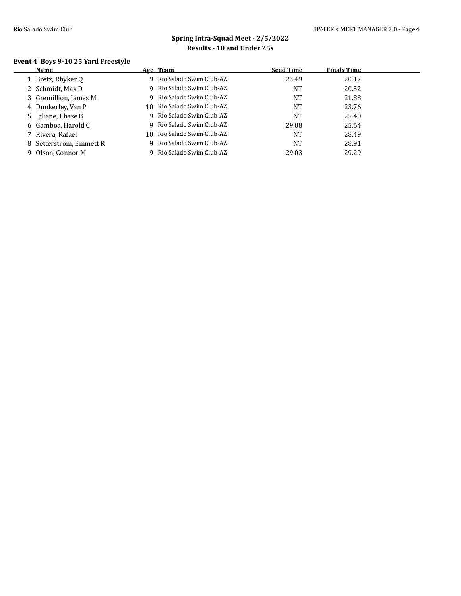# **Spring Intra-Squad Meet - 2/5/2022 Results - 10 and Under 25s**

### **Event 4 Boys 9-10 25 Yard Freestyle**

| Name                    |     | Age Team                  | <b>Seed Time</b> | <b>Finals Time</b> |  |
|-------------------------|-----|---------------------------|------------------|--------------------|--|
| Bretz, Rhyker Q         |     | 9 Rio Salado Swim Club-AZ | 23.49            | 20.17              |  |
| 2 Schmidt, Max D        |     | 9 Rio Salado Swim Club-AZ | NT               | 20.52              |  |
| 3 Gremillion, James M   |     | 9 Rio Salado Swim Club-AZ | NT               | 21.88              |  |
| 4 Dunkerley, Van P      | 10. | Rio Salado Swim Club-AZ   | NT               | 23.76              |  |
| 5 Igliane, Chase B      |     | 9 Rio Salado Swim Club-AZ | NT               | 25.40              |  |
| 6 Gamboa, Harold C      |     | 9 Rio Salado Swim Club-AZ | 29.08            | 25.64              |  |
| 7 Rivera, Rafael        | 10  | Rio Salado Swim Club-AZ   | NT               | 28.49              |  |
| 8 Setterstrom, Emmett R |     | 9 Rio Salado Swim Club-AZ | NT               | 28.91              |  |
| 9 Olson, Connor M       |     | 9 Rio Salado Swim Club-AZ | 29.03            | 29.29              |  |
|                         |     |                           |                  |                    |  |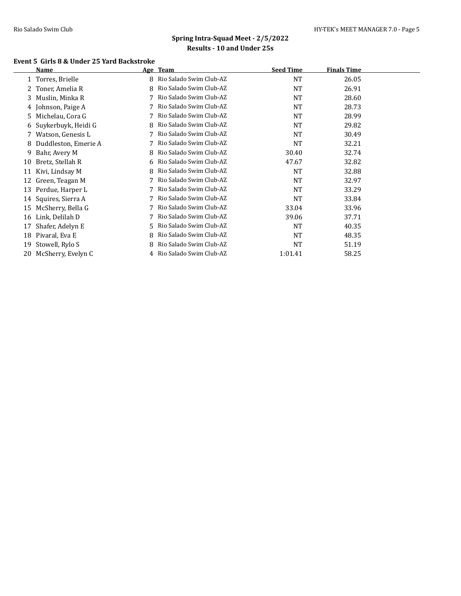### **Event 5 Girls 8 & Under 25 Yard Backstroke**

|    | Name                 | Age | <b>Team</b>               | <b>Seed Time</b> | <b>Finals Time</b> |  |
|----|----------------------|-----|---------------------------|------------------|--------------------|--|
|    | 1 Torres, Brielle    | 8   | Rio Salado Swim Club-AZ   | <b>NT</b>        | 26.05              |  |
|    | Toner, Amelia R      | 8   | Rio Salado Swim Club-AZ   | NT               | 26.91              |  |
| 3  | Muslin, Minka R      |     | Rio Salado Swim Club-AZ   | <b>NT</b>        | 28.60              |  |
|    | 4 Johnson, Paige A   |     | Rio Salado Swim Club-AZ   | NT               | 28.73              |  |
| 5  | Michelau, Cora G     |     | Rio Salado Swim Club-AZ   | <b>NT</b>        | 28.99              |  |
| 6  | Suykerbuyk, Heidi G  |     | Rio Salado Swim Club-AZ   | <b>NT</b>        | 29.82              |  |
|    | 7 Watson, Genesis L  |     | Rio Salado Swim Club-AZ   | <b>NT</b>        | 30.49              |  |
| 8  | Duddleston, Emerie A |     | Rio Salado Swim Club-AZ   | NT               | 32.21              |  |
| 9  | Bahr, Avery M        | 8   | Rio Salado Swim Club-AZ   | 30.40            | 32.74              |  |
| 10 | Bretz, Stellah R     | 6.  | Rio Salado Swim Club-AZ   | 47.67            | 32.82              |  |
| 11 | Kivi, Lindsay M      | 8   | Rio Salado Swim Club-AZ   | <b>NT</b>        | 32.88              |  |
| 12 | Green, Teagan M      |     | Rio Salado Swim Club-AZ   | NT               | 32.97              |  |
| 13 | Perdue, Harper L     |     | Rio Salado Swim Club-AZ   | <b>NT</b>        | 33.29              |  |
| 14 | Squires, Sierra A    |     | Rio Salado Swim Club-AZ   | NT               | 33.84              |  |
| 15 | McSherry, Bella G    |     | Rio Salado Swim Club-AZ   | 33.04            | 33.96              |  |
| 16 | Link, Delilah D      |     | Rio Salado Swim Club-AZ   | 39.06            | 37.71              |  |
| 17 | Shafer, Adelyn E     | 5.  | Rio Salado Swim Club-AZ   | <b>NT</b>        | 40.35              |  |
| 18 | Pivaral, Eva E       | 8   | Rio Salado Swim Club-AZ   | <b>NT</b>        | 48.35              |  |
| 19 | Stowell, Rylo S      |     | Rio Salado Swim Club-AZ   | <b>NT</b>        | 51.19              |  |
| 20 | McSherry, Evelyn C   |     | 4 Rio Salado Swim Club-AZ | 1:01.41          | 58.25              |  |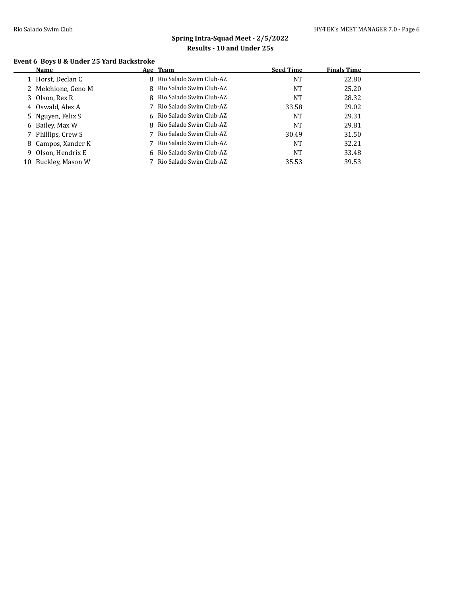### **Event 6 Boys 8 & Under 25 Yard Backstroke**

|    | Name                | Age Team                  | <b>Seed Time</b> | <b>Finals Time</b> |
|----|---------------------|---------------------------|------------------|--------------------|
|    | 1 Horst, Declan C   | 8 Rio Salado Swim Club-AZ | NT               | 22.80              |
|    | 2 Melchione, Geno M | 8 Rio Salado Swim Club-AZ | <b>NT</b>        | 25.20              |
|    | 3 Olson, Rex R      | 8 Rio Salado Swim Club-AZ | NT               | 28.32              |
|    | 4 Oswald, Alex A    | 7 Rio Salado Swim Club-AZ | 33.58            | 29.02              |
|    | 5 Nguyen, Felix S   | 6 Rio Salado Swim Club-AZ | NT               | 29.31              |
|    | 6 Bailey, Max W     | 8 Rio Salado Swim Club-AZ | NT               | 29.81              |
|    | 7 Phillips, Crew S  | 7 Rio Salado Swim Club-AZ | 30.49            | 31.50              |
|    | 8 Campos, Xander K  | 7 Rio Salado Swim Club-AZ | <b>NT</b>        | 32.21              |
|    | 9 Olson, Hendrix E  | 6 Rio Salado Swim Club-AZ | NT               | 33.48              |
| 10 | Buckley, Mason W    | 7 Rio Salado Swim Club-AZ | 35.53            | 39.53              |
|    |                     |                           |                  |                    |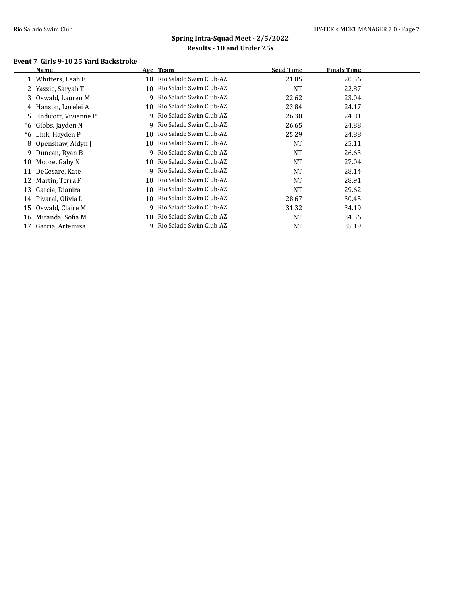#### **Event 7 Girls 9-10 25 Yard Backstroke**

|    | Name                   |     | Age Team                  | <b>Seed Time</b> | <b>Finals Time</b> |  |
|----|------------------------|-----|---------------------------|------------------|--------------------|--|
|    | 1 Whitters, Leah E     | 10  | Rio Salado Swim Club-AZ   | 21.05            | 20.56              |  |
|    | Yazzie, Saryah T       | 10  | Rio Salado Swim Club-AZ   | <b>NT</b>        | 22.87              |  |
| 3  | Oswald, Lauren M       | 9   | Rio Salado Swim Club-AZ   | 22.62            | 23.04              |  |
|    | 4 Hanson, Lorelei A    | 10  | Rio Salado Swim Club-AZ   | 23.84            | 24.17              |  |
|    | 5 Endicott, Vivienne P | 9   | Rio Salado Swim Club-AZ   | 26.30            | 24.81              |  |
| *6 | Gibbs, Jayden N        |     | 9 Rio Salado Swim Club-AZ | 26.65            | 24.88              |  |
| *6 | Link, Hayden P         | 10  | Rio Salado Swim Club-AZ   | 25.29            | 24.88              |  |
|    | 8 Openshaw, Aidyn J    | 10  | Rio Salado Swim Club-AZ   | NT               | 25.11              |  |
|    | 9 Duncan, Ryan B       | 9   | Rio Salado Swim Club-AZ   | NT               | 26.63              |  |
| 10 | Moore, Gaby N          | 10. | Rio Salado Swim Club-AZ   | <b>NT</b>        | 27.04              |  |
| 11 | DeCesare, Kate         | 9   | Rio Salado Swim Club-AZ   | <b>NT</b>        | 28.14              |  |
| 12 | Martin, Terra F        | 10  | Rio Salado Swim Club-AZ   | <b>NT</b>        | 28.91              |  |
| 13 | Garcia, Dianira        | 10  | Rio Salado Swim Club-AZ   | <b>NT</b>        | 29.62              |  |
| 14 | Pivaral, Olivia L      | 10  | Rio Salado Swim Club-AZ   | 28.67            | 30.45              |  |
| 15 | Oswald, Claire M       | 9   | Rio Salado Swim Club-AZ   | 31.32            | 34.19              |  |
| 16 | Miranda, Sofia M       | 10  | Rio Salado Swim Club-AZ   | <b>NT</b>        | 34.56              |  |
| 17 | Garcia, Artemisa       | 9   | Rio Salado Swim Club-AZ   | NT               | 35.19              |  |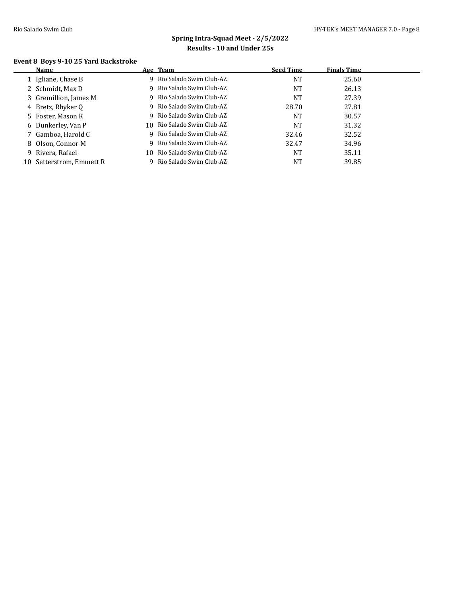### **Event 8 Boys 9-10 25 Yard Backstroke**

| Name                     |    | Age Team                   | <b>Seed Time</b> | <b>Finals Time</b> |  |
|--------------------------|----|----------------------------|------------------|--------------------|--|
| 1 Igliane, Chase B       |    | 9 Rio Salado Swim Club-AZ  | NT               | 25.60              |  |
| 2 Schmidt, Max D         |    | 9 Rio Salado Swim Club-AZ  | NT               | 26.13              |  |
| 3 Gremillion, James M    | 9. | Rio Salado Swim Club-AZ    | NT               | 27.39              |  |
| 4 Bretz, Rhyker Q        |    | 9 Rio Salado Swim Club-AZ  | 28.70            | 27.81              |  |
| 5 Foster, Mason R        |    | 9 Rio Salado Swim Club-AZ  | <b>NT</b>        | 30.57              |  |
| 6 Dunkerley, Van P       |    | 10 Rio Salado Swim Club-AZ | NT               | 31.32              |  |
| 7 Gamboa, Harold C       | 9  | Rio Salado Swim Club-AZ    | 32.46            | 32.52              |  |
| 8 Olson, Connor M        |    | 9 Rio Salado Swim Club-AZ  | 32.47            | 34.96              |  |
| 9 Rivera, Rafael         |    | 10 Rio Salado Swim Club-AZ | NT               | 35.11              |  |
| 10 Setterstrom, Emmett R |    | 9 Rio Salado Swim Club-AZ  | NT               | 39.85              |  |
|                          |    |                            |                  |                    |  |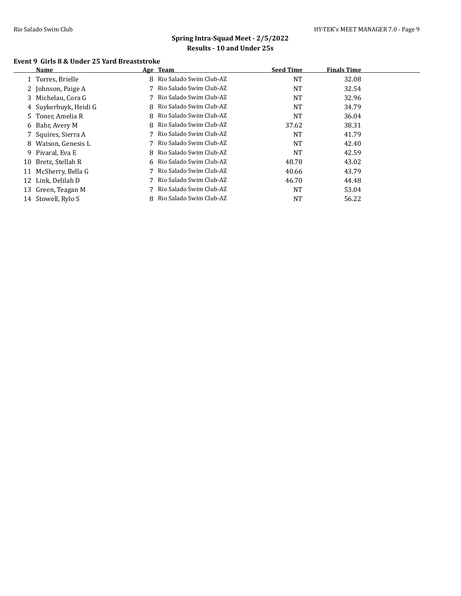### **Event 9 Girls 8 & Under 25 Yard Breaststroke**

|    | Name                  | Age Team                  | <b>Seed Time</b> | <b>Finals Time</b> |  |
|----|-----------------------|---------------------------|------------------|--------------------|--|
|    | 1 Torres, Brielle     | 8 Rio Salado Swim Club-AZ | <b>NT</b>        | 32.08              |  |
|    | 2 Johnson, Paige A    | 7 Rio Salado Swim Club-AZ | <b>NT</b>        | 32.54              |  |
|    | 3 Michelau, Cora G    | 7 Rio Salado Swim Club-AZ | <b>NT</b>        | 32.96              |  |
|    | 4 Suykerbuyk, Heidi G | 8 Rio Salado Swim Club-AZ | <b>NT</b>        | 34.79              |  |
|    | 5 Toner, Amelia R     | 8 Rio Salado Swim Club-AZ | NT               | 36.04              |  |
|    | 6 Bahr, Avery M       | 8 Rio Salado Swim Club-AZ | 37.62            | 38.31              |  |
|    | 7 Squires, Sierra A   | 7 Rio Salado Swim Club-AZ | <b>NT</b>        | 41.79              |  |
| 8  | Watson, Genesis L     | 7 Rio Salado Swim Club-AZ | <b>NT</b>        | 42.40              |  |
|    | 9 Pivaral, Eva E      | 8 Rio Salado Swim Club-AZ | <b>NT</b>        | 42.59              |  |
| 10 | Bretz, Stellah R      | 6 Rio Salado Swim Club-AZ | 48.78            | 43.02              |  |
| 11 | McSherry, Bella G     | 7 Rio Salado Swim Club-AZ | 40.66            | 43.79              |  |
|    | 12 Link, Delilah D    | 7 Rio Salado Swim Club-AZ | 46.70            | 44.48              |  |
| 13 | Green, Teagan M       | 7 Rio Salado Swim Club-AZ | <b>NT</b>        | 53.04              |  |
|    | 14 Stowell, Rylo S    | 8 Rio Salado Swim Club-AZ | NT               | 56.22              |  |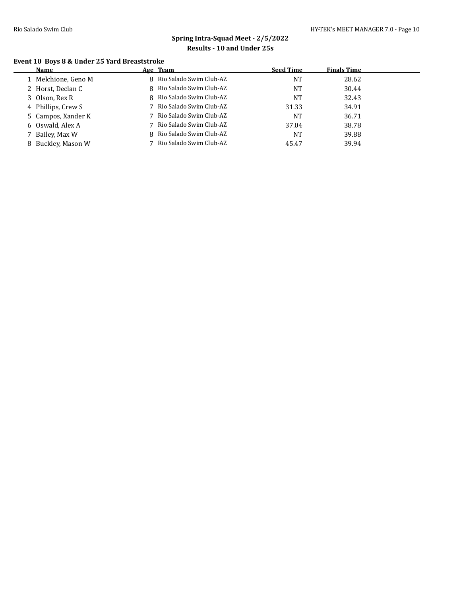# **Spring Intra-Squad Meet - 2/5/2022 Results - 10 and Under 25s**

### **Event 10 Boys 8 & Under 25 Yard Breaststroke**

|   | Name                | Age Team                  | <b>Seed Time</b> | <b>Finals Time</b> |  |
|---|---------------------|---------------------------|------------------|--------------------|--|
|   | 1 Melchione, Geno M | 8 Rio Salado Swim Club-AZ | NΤ               | 28.62              |  |
|   | 2 Horst, Declan C   | 8 Rio Salado Swim Club-AZ | NT               | 30.44              |  |
|   | 3 Olson, Rex R      | 8 Rio Salado Swim Club-AZ | NT               | 32.43              |  |
|   | 4 Phillips, Crew S  | 7 Rio Salado Swim Club-AZ | 31.33            | 34.91              |  |
|   | 5 Campos, Xander K  | 7 Rio Salado Swim Club-AZ | NT               | 36.71              |  |
|   | 6 Oswald, Alex A    | 7 Rio Salado Swim Club-AZ | 37.04            | 38.78              |  |
|   | 7 Bailey, Max W     | 8 Rio Salado Swim Club-AZ | NT               | 39.88              |  |
| 8 | Buckley, Mason W    | 7 Rio Salado Swim Club-AZ | 45.47            | 39.94              |  |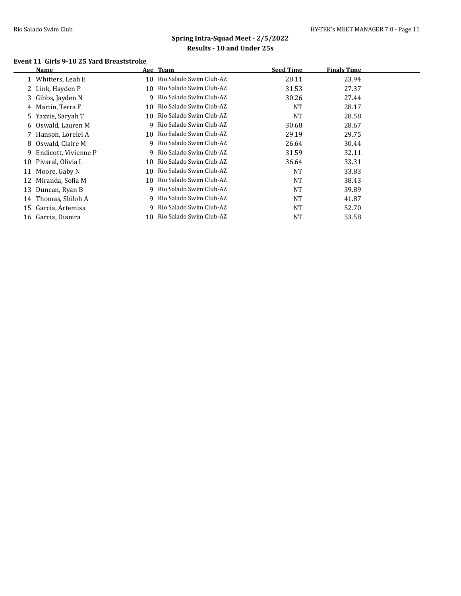### **Event 11 Girls 9-10 25 Yard Breaststroke**

|    | Name                   |    | Age Team                  | <b>Seed Time</b> | <b>Finals Time</b> |  |
|----|------------------------|----|---------------------------|------------------|--------------------|--|
|    | 1 Whitters, Leah E     | 10 | Rio Salado Swim Club-AZ   | 28.11            | 23.94              |  |
|    | 2 Link, Hayden P       | 10 | Rio Salado Swim Club-AZ   | 31.53            | 27.37              |  |
|    | 3 Gibbs, Jayden N      | 9. | Rio Salado Swim Club-AZ   | 30.26            | 27.44              |  |
|    | 4 Martin, Terra F      | 10 | Rio Salado Swim Club-AZ   | <b>NT</b>        | 28.17              |  |
|    | 5 Yazzie, Saryah T     | 10 | Rio Salado Swim Club-AZ   | NT               | 28.58              |  |
|    | 6 Oswald, Lauren M     | 9  | Rio Salado Swim Club-AZ   | 30.68            | 28.67              |  |
|    | 7 Hanson, Lorelei A    | 10 | Rio Salado Swim Club-AZ   | 29.19            | 29.75              |  |
|    | 8 Oswald, Claire M     |    | 9 Rio Salado Swim Club-AZ | 26.64            | 30.44              |  |
|    | 9 Endicott, Vivienne P | 9. | Rio Salado Swim Club-AZ   | 31.59            | 32.11              |  |
| 10 | Pivaral, Olivia L      | 10 | Rio Salado Swim Club-AZ   | 36.64            | 33.31              |  |
|    | 11 Moore, Gaby N       | 10 | Rio Salado Swim Club-AZ   | <b>NT</b>        | 33.83              |  |
| 12 | Miranda, Sofia M       | 10 | Rio Salado Swim Club-AZ   | <b>NT</b>        | 38.43              |  |
| 13 | Duncan, Ryan B         | 9. | Rio Salado Swim Club-AZ   | <b>NT</b>        | 39.89              |  |
| 14 | Thomas, Shiloh A       | 9  | Rio Salado Swim Club-AZ   | <b>NT</b>        | 41.87              |  |
| 15 | Garcia, Artemisa       |    | Rio Salado Swim Club-AZ   | <b>NT</b>        | 52.70              |  |
|    | 16 Garcia, Dianira     | 10 | Rio Salado Swim Club-AZ   | NT               | 53.58              |  |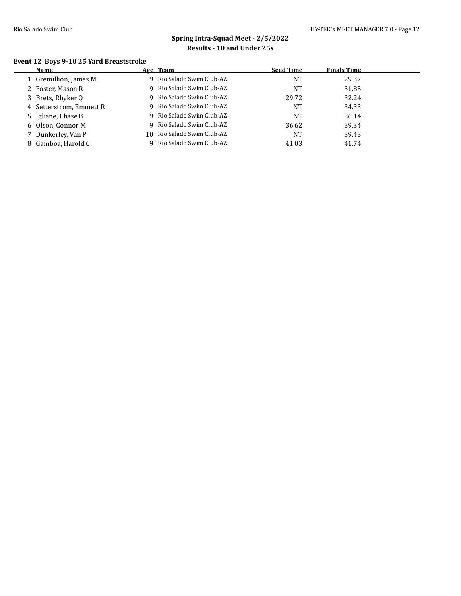### **Event 12 Boys 9-10 25 Yard Breaststroke**

| <b>Name</b>             | Age Team                   | <b>Seed Time</b> | <b>Finals Time</b> |  |
|-------------------------|----------------------------|------------------|--------------------|--|
| 1 Gremillion, James M   | 9 Rio Salado Swim Club-AZ  | <b>NT</b>        | 29.37              |  |
| 2 Foster, Mason R       | 9 Rio Salado Swim Club-AZ  | NT               | 31.85              |  |
| 3 Bretz, Rhyker Q       | 9 Rio Salado Swim Club-AZ  | 29.72            | 32.24              |  |
| 4 Setterstrom, Emmett R | 9 Rio Salado Swim Club-AZ  | NT               | 34.33              |  |
| 5 Igliane, Chase B      | 9 Rio Salado Swim Club-AZ  | NT               | 36.14              |  |
| 6 Olson, Connor M       | 9 Rio Salado Swim Club-AZ  | 36.62            | 39.34              |  |
| 7 Dunkerley, Van P      | 10 Rio Salado Swim Club-AZ | NT               | 39.43              |  |
| 8 Gamboa, Harold C      | Rio Salado Swim Club-AZ    | 41.03            | 41.74              |  |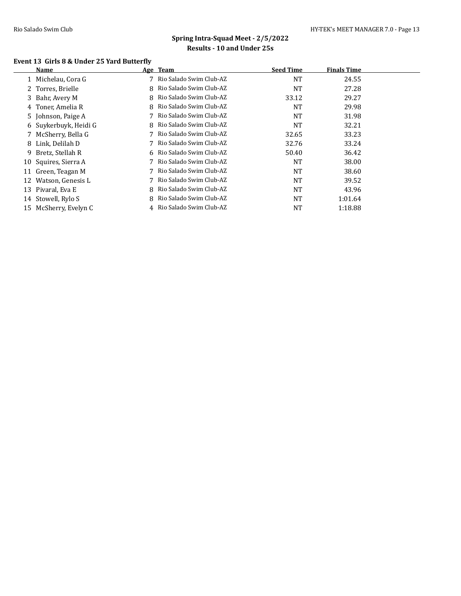# **Spring Intra-Squad Meet - 2/5/2022 Results - 10 and Under 25s**

### **Event 13 Girls 8 & Under 25 Yard Butterfly**

|   | Name                  |   | Age Team                  | <b>Seed Time</b> | <b>Finals Time</b> |  |
|---|-----------------------|---|---------------------------|------------------|--------------------|--|
|   | Michelau, Cora G      |   | 7 Rio Salado Swim Club-AZ | <b>NT</b>        | 24.55              |  |
|   | 2 Torres, Brielle     |   | 8 Rio Salado Swim Club-AZ | <b>NT</b>        | 27.28              |  |
|   | 3 Bahr, Avery M       |   | 8 Rio Salado Swim Club-AZ | 33.12            | 29.27              |  |
|   | 4 Toner, Amelia R     |   | 8 Rio Salado Swim Club-AZ | <b>NT</b>        | 29.98              |  |
|   | 5 Johnson, Paige A    |   | 7 Rio Salado Swim Club-AZ | <b>NT</b>        | 31.98              |  |
|   | 6 Suykerbuyk, Heidi G |   | 8 Rio Salado Swim Club-AZ | <b>NT</b>        | 32.21              |  |
|   | McSherry, Bella G     |   | 7 Rio Salado Swim Club-AZ | 32.65            | 33.23              |  |
| 8 | Link, Delilah D       |   | 7 Rio Salado Swim Club-AZ | 32.76            | 33.24              |  |
| 9 | Bretz, Stellah R      |   | 6 Rio Salado Swim Club-AZ | 50.40            | 36.42              |  |
|   | 10 Squires, Sierra A  |   | 7 Rio Salado Swim Club-AZ | <b>NT</b>        | 38.00              |  |
|   | 11 Green, Teagan M    |   | 7 Rio Salado Swim Club-AZ | <b>NT</b>        | 38.60              |  |
|   | 12 Watson, Genesis L  |   | 7 Rio Salado Swim Club-AZ | <b>NT</b>        | 39.52              |  |
|   | 13 Pivaral, Eva E     |   | 8 Rio Salado Swim Club-AZ | <b>NT</b>        | 43.96              |  |
|   | 14 Stowell, Rylo S    | 8 | Rio Salado Swim Club-AZ   | <b>NT</b>        | 1:01.64            |  |
|   | 15 McSherry, Evelyn C |   | 4 Rio Salado Swim Club-AZ | NT               | 1:18.88            |  |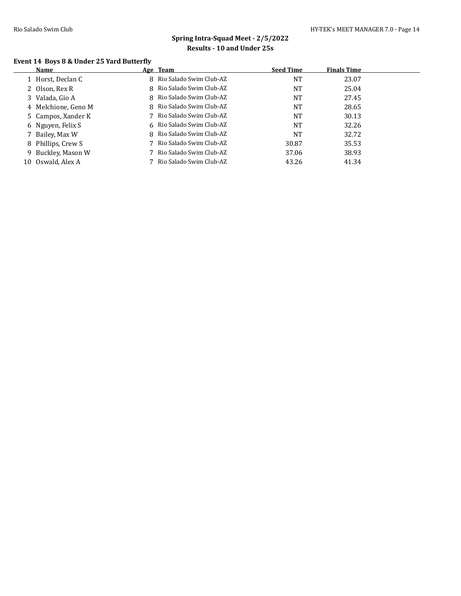### **Event 14 Boys 8 & Under 25 Yard Butterfly**

| Name           |                                                                                                                                                                                               | <b>Seed Time</b>                                                                                                                                                                                                                                                                                           | <b>Finals Time</b> |  |
|----------------|-----------------------------------------------------------------------------------------------------------------------------------------------------------------------------------------------|------------------------------------------------------------------------------------------------------------------------------------------------------------------------------------------------------------------------------------------------------------------------------------------------------------|--------------------|--|
|                |                                                                                                                                                                                               | NT                                                                                                                                                                                                                                                                                                         | 23.07              |  |
|                |                                                                                                                                                                                               | NT                                                                                                                                                                                                                                                                                                         | 25.04              |  |
|                |                                                                                                                                                                                               | <b>NT</b>                                                                                                                                                                                                                                                                                                  | 27.45              |  |
|                |                                                                                                                                                                                               | NT                                                                                                                                                                                                                                                                                                         | 28.65              |  |
|                |                                                                                                                                                                                               | NT                                                                                                                                                                                                                                                                                                         | 30.13              |  |
|                |                                                                                                                                                                                               | NT                                                                                                                                                                                                                                                                                                         | 32.26              |  |
|                |                                                                                                                                                                                               | NT                                                                                                                                                                                                                                                                                                         | 32.72              |  |
|                |                                                                                                                                                                                               | 30.87                                                                                                                                                                                                                                                                                                      | 35.53              |  |
|                |                                                                                                                                                                                               | 37.06                                                                                                                                                                                                                                                                                                      | 38.93              |  |
| Oswald, Alex A |                                                                                                                                                                                               | 43.26                                                                                                                                                                                                                                                                                                      | 41.34              |  |
|                | 1 Horst, Declan C<br>2 Olson, Rex R<br>3 Valada, Gio A<br>4 Melchione, Geno M<br>5 Campos, Xander K<br>6 Nguyen, Felix S<br>7 Bailey, Max W<br>8 Phillips, Crew S<br>9 Buckley, Mason W<br>10 | Age Team<br>8 Rio Salado Swim Club-AZ<br>8 Rio Salado Swim Club-AZ<br>8 Rio Salado Swim Club-AZ<br>8 Rio Salado Swim Club-AZ<br>7 Rio Salado Swim Club-AZ<br>6 Rio Salado Swim Club-AZ<br>8 Rio Salado Swim Club-AZ<br>7 Rio Salado Swim Club-AZ<br>7 Rio Salado Swim Club-AZ<br>7 Rio Salado Swim Club-AZ |                    |  |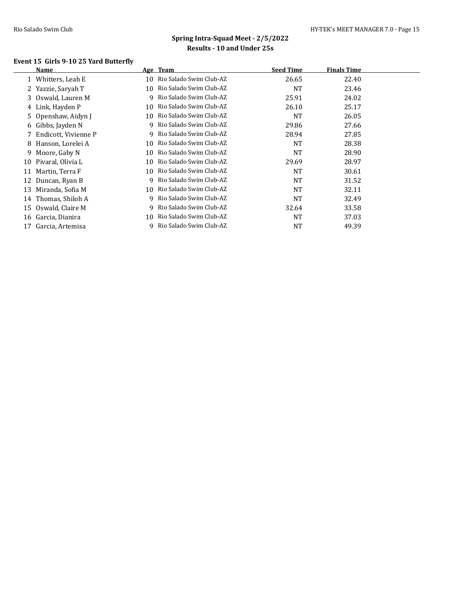### **Event 15 Girls 9-10 25 Yard Butterfly**

|    | Name                 |    | Age Team                  | <b>Seed Time</b> | <b>Finals Time</b> |  |
|----|----------------------|----|---------------------------|------------------|--------------------|--|
|    | 1 Whitters, Leah E   | 10 | Rio Salado Swim Club-AZ   | 26.65            | 22.40              |  |
|    | 2 Yazzie, Saryah T   | 10 | Rio Salado Swim Club-AZ   | <b>NT</b>        | 23.46              |  |
| 3. | Oswald, Lauren M     | 9  | Rio Salado Swim Club-AZ   | 25.91            | 24.02              |  |
| 4  | Link, Hayden P       | 10 | Rio Salado Swim Club-AZ   | 26.10            | 25.17              |  |
|    | 5 Openshaw, Aidyn J  | 10 | Rio Salado Swim Club-AZ   | <b>NT</b>        | 26.05              |  |
|    | 6 Gibbs, Jayden N    |    | 9 Rio Salado Swim Club-AZ | 29.86            | 27.66              |  |
|    | Endicott, Vivienne P | 9. | Rio Salado Swim Club-AZ   | 28.94            | 27.85              |  |
| 8  | Hanson, Lorelei A    | 10 | Rio Salado Swim Club-AZ   | <b>NT</b>        | 28.38              |  |
| 9. | Moore, Gaby N        | 10 | Rio Salado Swim Club-AZ   | <b>NT</b>        | 28.90              |  |
| 10 | Pivaral, Olivia L    | 10 | Rio Salado Swim Club-AZ   | 29.69            | 28.97              |  |
| 11 | Martin, Terra F      | 10 | Rio Salado Swim Club-AZ   | <b>NT</b>        | 30.61              |  |
| 12 | Duncan, Ryan B       | 9  | Rio Salado Swim Club-AZ   | <b>NT</b>        | 31.52              |  |
| 13 | Miranda, Sofia M     | 10 | Rio Salado Swim Club-AZ   | <b>NT</b>        | 32.11              |  |
| 14 | Thomas, Shiloh A     | 9  | Rio Salado Swim Club-AZ   | <b>NT</b>        | 32.49              |  |
| 15 | Oswald, Claire M     | 9  | Rio Salado Swim Club-AZ   | 32.64            | 33.58              |  |
| 16 | Garcia, Dianira      | 10 | Rio Salado Swim Club-AZ   | <b>NT</b>        | 37.03              |  |
| 17 | Garcia, Artemisa     |    | Rio Salado Swim Club-AZ   | NT               | 49.39              |  |